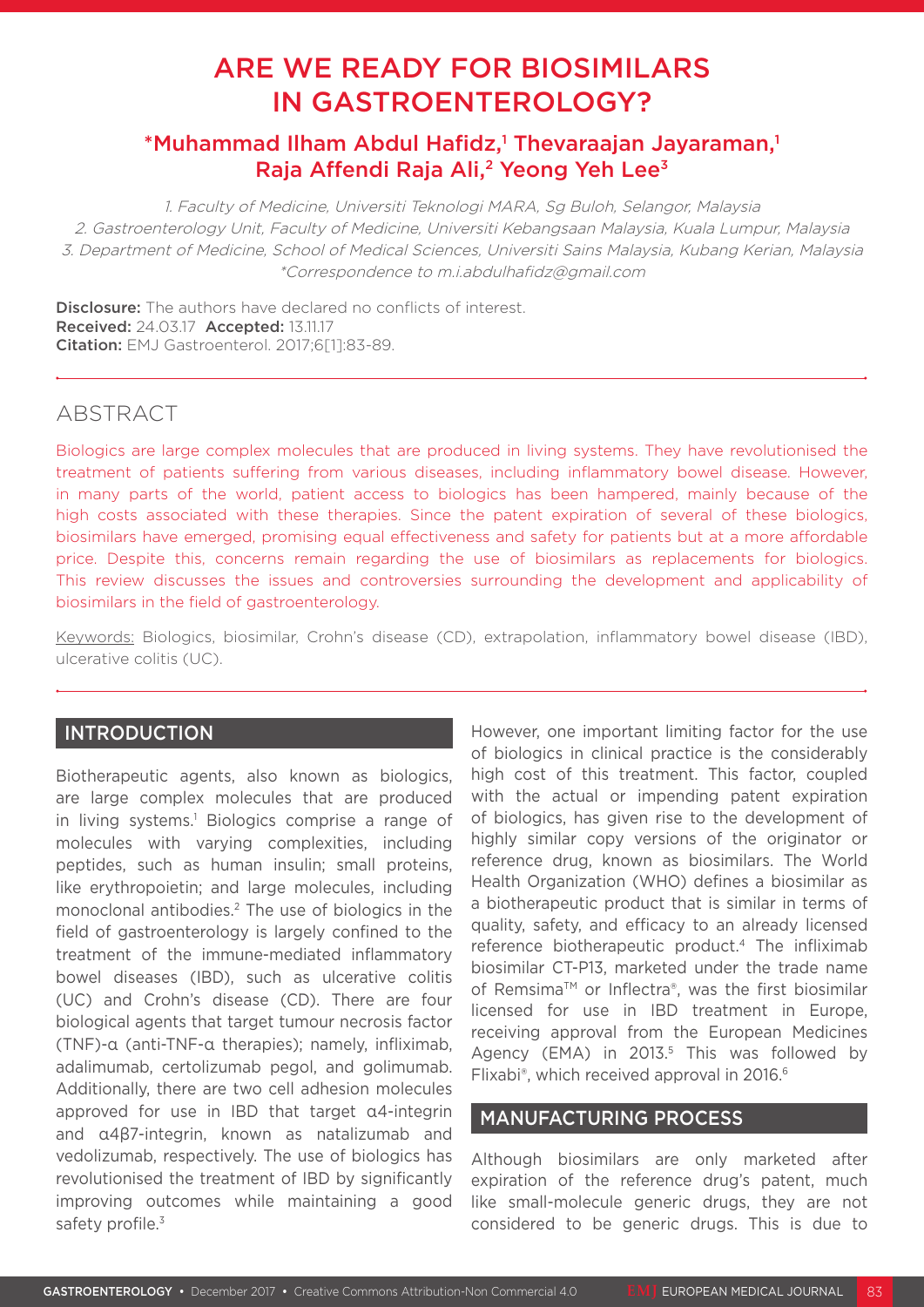# ARE WE READY FOR BIOSIMILARS IN GASTROENTEROLOGY?

# \*Muhammad Ilham Abdul Hafidz,<sup>1</sup> Thevaraajan Jayaraman,<sup>1</sup> Raja Affendi Raja Ali,<sup>2</sup> Yeong Yeh Lee<sup>3</sup>

1. Faculty of Medicine, Universiti Teknologi MARA, Sg Buloh, Selangor, Malaysia 2. Gastroenterology Unit, Faculty of Medicine, Universiti Kebangsaan Malaysia, Kuala Lumpur, Malaysia 3. Department of Medicine, School of Medical Sciences, Universiti Sains Malaysia, Kubang Kerian, Malaysia \*Correspondence to m.i.abdulhafidz@gmail.com

**Disclosure:** The authors have declared no conflicts of interest. Received: 24.03.17 Accepted: 13.11.17 Citation: EMJ Gastroenterol. 2017;6[1]:83-89.

# ABSTRACT

Biologics are large complex molecules that are produced in living systems. They have revolutionised the treatment of patients suffering from various diseases, including inflammatory bowel disease. However, in many parts of the world, patient access to biologics has been hampered, mainly because of the high costs associated with these therapies. Since the patent expiration of several of these biologics, biosimilars have emerged, promising equal effectiveness and safety for patients but at a more affordable price. Despite this, concerns remain regarding the use of biosimilars as replacements for biologics. This review discusses the issues and controversies surrounding the development and applicability of biosimilars in the field of gastroenterology.

Keywords: Biologics, biosimilar, Crohn's disease (CD), extrapolation, inflammatory bowel disease (IBD), ulcerative colitis (UC).

# **INTRODUCTION**

Biotherapeutic agents, also known as biologics, are large complex molecules that are produced in living systems.<sup>1</sup> Biologics comprise a range of molecules with varying complexities, including peptides, such as human insulin; small proteins, like erythropoietin; and large molecules, including monoclonal antibodies.2 The use of biologics in the field of gastroenterology is largely confined to the treatment of the immune-mediated inflammatory bowel diseases (IBD), such as ulcerative colitis (UC) and Crohn's disease (CD). There are four biological agents that target tumour necrosis factor (TNF)-α (anti-TNF-α therapies); namely, infliximab, adalimumab, certolizumab pegol, and golimumab. Additionally, there are two cell adhesion molecules approved for use in IBD that target α4-integrin and α4β7-integrin, known as natalizumab and vedolizumab, respectively. The use of biologics has revolutionised the treatment of IBD by significantly improving outcomes while maintaining a good safety profile.<sup>3</sup>

However, one important limiting factor for the use of biologics in clinical practice is the considerably high cost of this treatment. This factor, coupled with the actual or impending patent expiration of biologics, has given rise to the development of highly similar copy versions of the originator or reference drug, known as biosimilars. The World Health Organization (WHO) defines a biosimilar as a biotherapeutic product that is similar in terms of quality, safety, and efficacy to an already licensed reference biotherapeutic product.<sup>4</sup> The infliximab biosimilar CT-P13, marketed under the trade name of Remsima™ or Inflectra®, was the first biosimilar licensed for use in IBD treatment in Europe, receiving approval from the European Medicines Agency (EMA) in 2013.<sup>5</sup> This was followed by Flixabi®, which received approval in 2016.6

# MANUFACTURING PROCESS

Although biosimilars are only marketed after expiration of the reference drug's patent, much like small-molecule generic drugs, they are not considered to be generic drugs. This is due to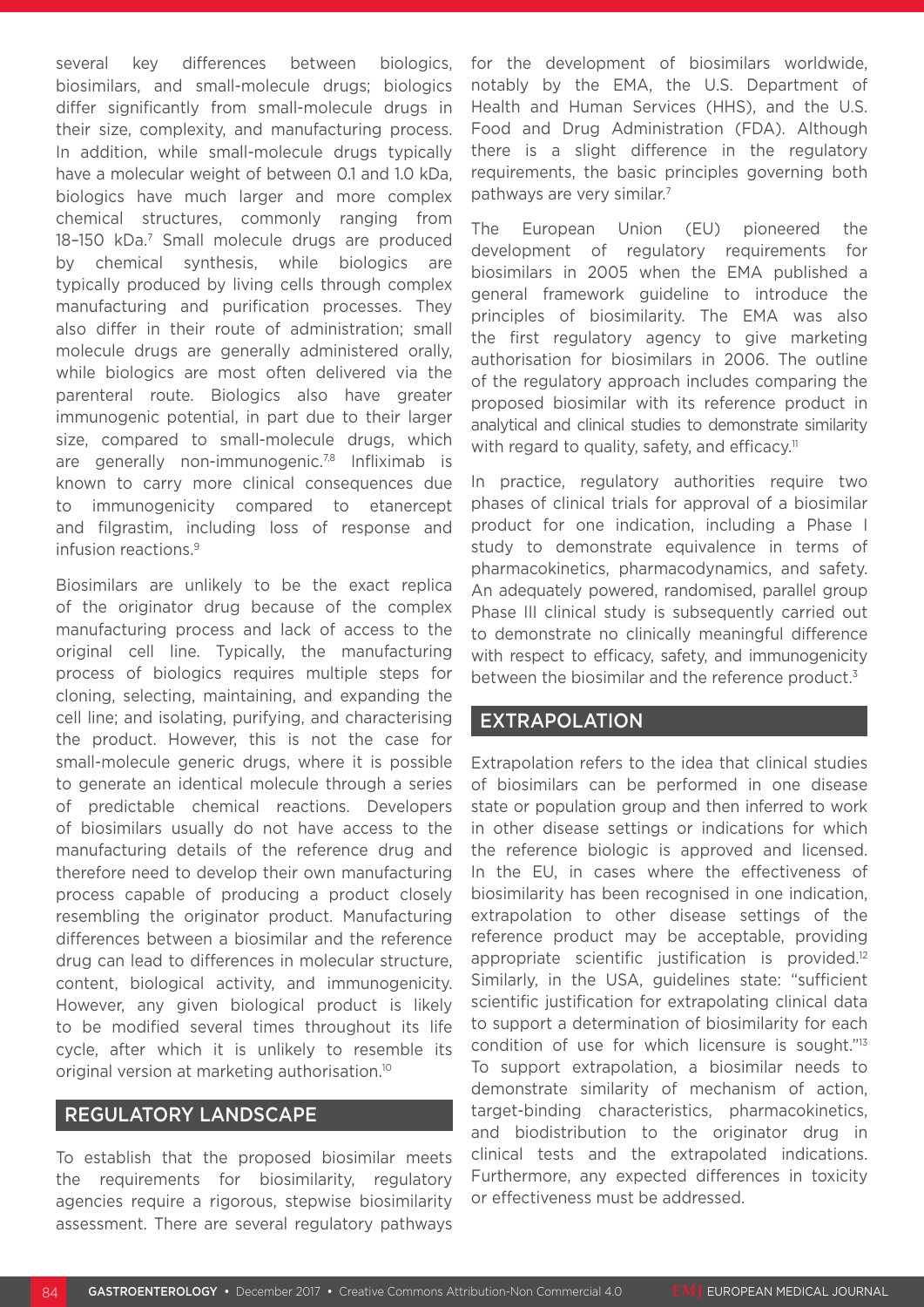several key differences between biologics, biosimilars, and small-molecule drugs; biologics differ significantly from small-molecule drugs in their size, complexity, and manufacturing process. In addition, while small-molecule drugs typically have a molecular weight of between 0.1 and 1.0 kDa, biologics have much larger and more complex chemical structures, commonly ranging from 18–150 kDa.7 Small molecule drugs are produced by chemical synthesis, while biologics are typically produced by living cells through complex manufacturing and purification processes. They also differ in their route of administration; small molecule drugs are generally administered orally, while biologics are most often delivered via the parenteral route. Biologics also have greater immunogenic potential, in part due to their larger size, compared to small-molecule drugs, which are generally non-immunogenic.<sup>7,8</sup> Infliximab is known to carry more clinical consequences due to immunogenicity compared to etanercept and filgrastim, including loss of response and infusion reactions.9

Biosimilars are unlikely to be the exact replica of the originator drug because of the complex manufacturing process and lack of access to the original cell line. Typically, the manufacturing process of biologics requires multiple steps for cloning, selecting, maintaining, and expanding the cell line; and isolating, purifying, and characterising the product. However, this is not the case for small-molecule generic drugs, where it is possible to generate an identical molecule through a series of predictable chemical reactions. Developers of biosimilars usually do not have access to the manufacturing details of the reference drug and therefore need to develop their own manufacturing process capable of producing a product closely resembling the originator product. Manufacturing differences between a biosimilar and the reference drug can lead to differences in molecular structure, content, biological activity, and immunogenicity. However, any given biological product is likely to be modified several times throughout its life cycle, after which it is unlikely to resemble its original version at marketing authorisation.10

#### REGULATORY LANDSCAPE

To establish that the proposed biosimilar meets the requirements for biosimilarity, regulatory agencies require a rigorous, stepwise biosimilarity assessment. There are several regulatory pathways for the development of biosimilars worldwide, notably by the EMA, the U.S. Department of Health and Human Services (HHS), and the U.S. Food and Drug Administration (FDA). Although there is a slight difference in the regulatory requirements, the basic principles governing both pathways are very similar.<sup>7</sup>

The European Union (EU) pioneered the development of regulatory requirements for biosimilars in 2005 when the EMA published a general framework guideline to introduce the principles of biosimilarity. The EMA was also the first regulatory agency to give marketing authorisation for biosimilars in 2006. The outline of the regulatory approach includes comparing the proposed biosimilar with its reference product in analytical and clinical studies to demonstrate similarity with regard to quality, safety, and efficacy.<sup>11</sup>

In practice, regulatory authorities require two phases of clinical trials for approval of a biosimilar product for one indication, including a Phase I study to demonstrate equivalence in terms of pharmacokinetics, pharmacodynamics, and safety. An adequately powered, randomised, parallel group Phase III clinical study is subsequently carried out to demonstrate no clinically meaningful difference with respect to efficacy, safety, and immunogenicity between the biosimilar and the reference product.<sup>3</sup>

## EXTRAPOLATION

Extrapolation refers to the idea that clinical studies of biosimilars can be performed in one disease state or population group and then inferred to work in other disease settings or indications for which the reference biologic is approved and licensed. In the EU, in cases where the effectiveness of biosimilarity has been recognised in one indication, extrapolation to other disease settings of the reference product may be acceptable, providing appropriate scientific justification is provided.<sup>12</sup> Similarly, in the USA, guidelines state: "sufficient scientific justification for extrapolating clinical data to support a determination of biosimilarity for each condition of use for which licensure is sought."13 To support extrapolation, a biosimilar needs to demonstrate similarity of mechanism of action, target-binding characteristics, pharmacokinetics, and biodistribution to the originator drug in clinical tests and the extrapolated indications. Furthermore, any expected differences in toxicity or effectiveness must be addressed.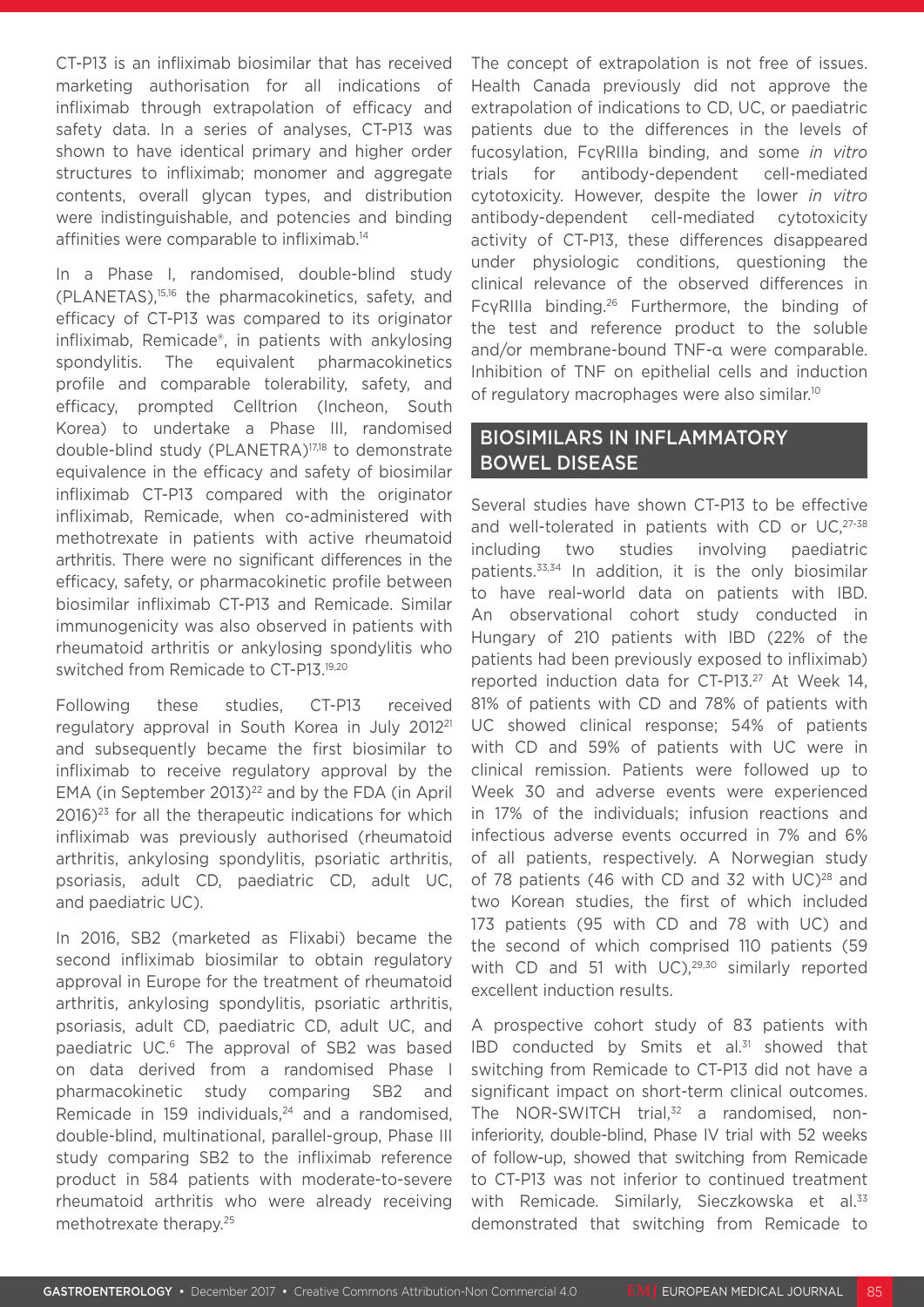CT-P13 is an infliximab biosimilar that has received marketing authorisation for all indications of infliximab through extrapolation of efficacy and safety data. In a series of analyses, CT-P13 was shown to have identical primary and higher order structures to infliximab; monomer and aggregate contents, overall glycan types, and distribution were indistinguishable, and potencies and binding affinities were comparable to infliximab.<sup>14</sup>

In a Phase I, randomised, double-blind study (PLANETAS),15,16 the pharmacokinetics, safety, and efficacy of CT-P13 was compared to its originator infliximab, Remicade®, in patients with ankylosing spondylitis. The equivalent pharmacokinetics profile and comparable tolerability, safety, and efficacy, prompted Celltrion (Incheon, South Korea) to undertake a Phase III, randomised double-blind study (PLANETRA)17,18 to demonstrate equivalence in the efficacy and safety of biosimilar infliximab CT-P13 compared with the originator infliximab, Remicade, when co-administered with methotrexate in patients with active rheumatoid arthritis. There were no significant differences in the efficacy, safety, or pharmacokinetic profile between biosimilar infliximab CT-P13 and Remicade. Similar immunogenicity was also observed in patients with rheumatoid arthritis or ankylosing spondylitis who switched from Remicade to CT-P13.19,20

Following these studies, CT-P13 received regulatory approval in South Korea in July 201221 and subsequently became the first biosimilar to infliximab to receive regulatory approval by the EMA (in September 2013) $^{22}$  and by the FDA (in April  $2016$ )<sup>23</sup> for all the therapeutic indications for which infliximab was previously authorised (rheumatoid arthritis, ankylosing spondylitis, psoriatic arthritis, psoriasis, adult CD, paediatric CD, adult UC, and paediatric UC).

In 2016, SB2 (marketed as Flixabi) became the second infliximab biosimilar to obtain regulatory approval in Europe for the treatment of rheumatoid arthritis, ankylosing spondylitis, psoriatic arthritis, psoriasis, adult CD, paediatric CD, adult UC, and paediatric UC.<sup>6</sup> The approval of SB2 was based on data derived from a randomised Phase I pharmacokinetic study comparing SB2 and Remicade in 159 individuals,<sup>24</sup> and a randomised, double-blind, multinational, parallel-group, Phase III study comparing SB2 to the infliximab reference product in 584 patients with moderate-to-severe rheumatoid arthritis who were already receiving methotrexate therapy.25

The concept of extrapolation is not free of issues. Health Canada previously did not approve the extrapolation of indications to CD, UC, or paediatric patients due to the differences in the levels of fucosylation, FcγRIIIa binding, and some *in vitro*  trials for antibody-dependent cell-mediated cytotoxicity. However, despite the lower *in vitro* antibody-dependent cell-mediated cytotoxicity activity of CT-P13, these differences disappeared under physiologic conditions, questioning the clinical relevance of the observed differences in FcγRIIIa binding.26 Furthermore, the binding of the test and reference product to the soluble and/or membrane-bound TNF-α were comparable. Inhibition of TNF on epithelial cells and induction of regulatory macrophages were also similar.10

# BIOSIMILARS IN INFLAMMATORY BOWEL DISEASE

Several studies have shown CT-P13 to be effective and well-tolerated in patients with CD or UC, 27-38 including two studies involving paediatric patients.33,34 In addition, it is the only biosimilar to have real-world data on patients with IBD. An observational cohort study conducted in Hungary of 210 patients with IBD (22% of the patients had been previously exposed to infliximab) reported induction data for CT-P13.27 At Week 14, 81% of patients with CD and 78% of patients with UC showed clinical response; 54% of patients with CD and 59% of patients with UC were in clinical remission. Patients were followed up to Week 30 and adverse events were experienced in 17% of the individuals; infusion reactions and infectious adverse events occurred in 7% and 6% of all patients, respectively. A Norwegian study of 78 patients (46 with CD and 32 with  $UC$ )<sup>28</sup> and two Korean studies, the first of which included 173 patients (95 with CD and 78 with UC) and the second of which comprised 110 patients (59 with CD and 51 with  $UC$ ),<sup>29,30</sup> similarly reported excellent induction results.

A prospective cohort study of 83 patients with IBD conducted by Smits et al. $31$  showed that switching from Remicade to CT-P13 did not have a significant impact on short-term clinical outcomes. The NOR-SWITCH trial, $32$  a randomised, noninferiority, double-blind, Phase IV trial with 52 weeks of follow-up, showed that switching from Remicade to CT-P13 was not inferior to continued treatment with Remicade. Similarly, Sieczkowska et al.<sup>33</sup> demonstrated that switching from Remicade to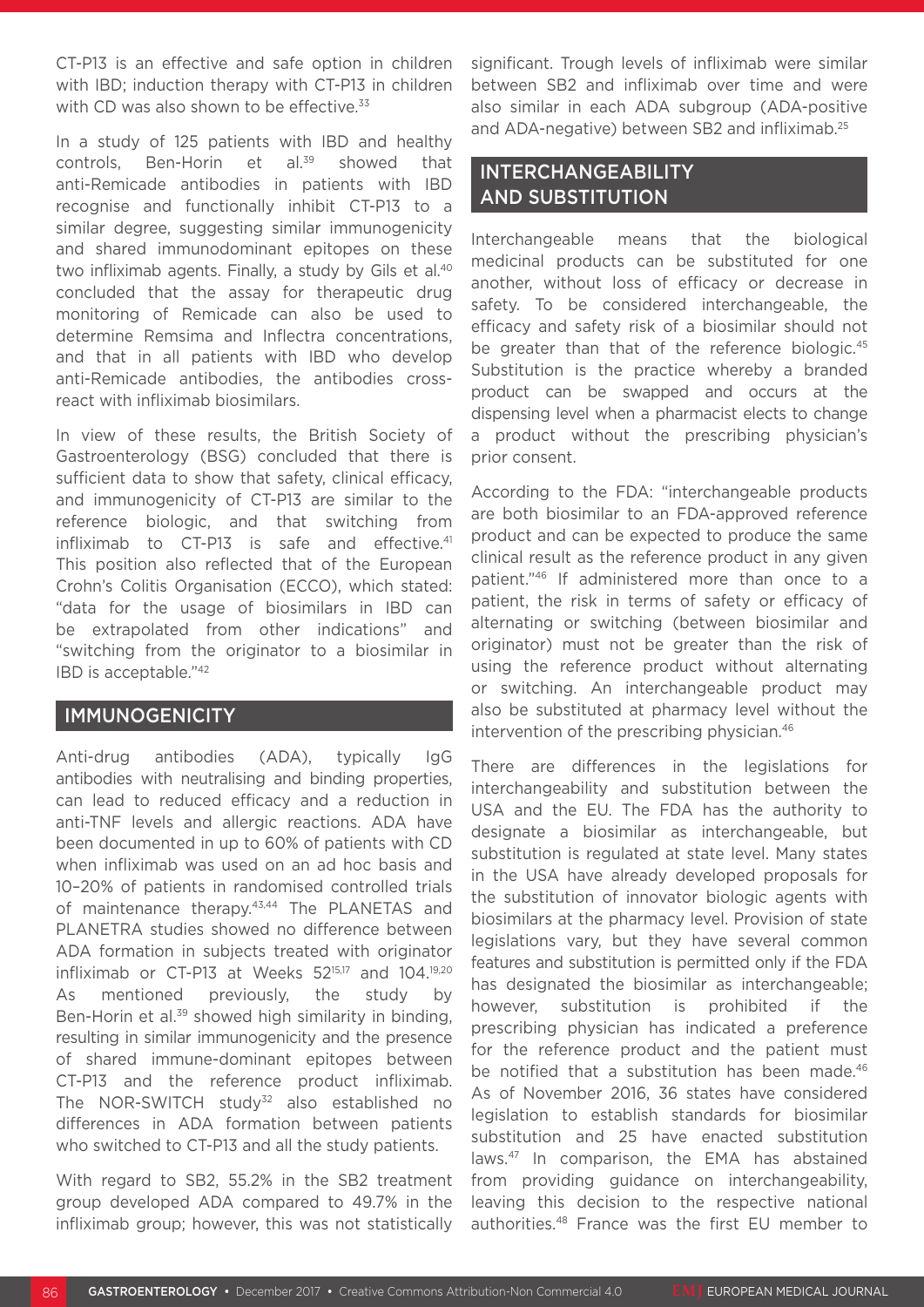CT-P13 is an effective and safe option in children with IBD; induction therapy with CT-P13 in children with CD was also shown to be effective.<sup>33</sup>

In a study of 125 patients with IBD and healthy controls, Ben-Horin et al.<sup>39</sup> showed that anti-Remicade antibodies in patients with IBD recognise and functionally inhibit CT-P13 to a similar degree, suggesting similar immunogenicity and shared immunodominant epitopes on these two infliximab agents. Finally, a study by Gils et al.<sup>40</sup> concluded that the assay for therapeutic drug monitoring of Remicade can also be used to determine Remsima and Inflectra concentrations, and that in all patients with IBD who develop anti-Remicade antibodies, the antibodies crossreact with infliximab biosimilars.

In view of these results, the British Society of Gastroenterology (BSG) concluded that there is sufficient data to show that safety, clinical efficacy, and immunogenicity of CT-P13 are similar to the reference biologic, and that switching from infliximab to CT-P13 is safe and effective.<sup>41</sup> This position also reflected that of the European Crohn's Colitis Organisation (ECCO), which stated: "data for the usage of biosimilars in IBD can be extrapolated from other indications" and "switching from the originator to a biosimilar in IBD is acceptable."42

## IMMUNOGENICITY

Anti-drug antibodies (ADA), typically IgG antibodies with neutralising and binding properties, can lead to reduced efficacy and a reduction in anti-TNF levels and allergic reactions. ADA have been documented in up to 60% of patients with CD when infliximab was used on an ad hoc basis and 10–20% of patients in randomised controlled trials of maintenance therapy.<sup>43,44</sup> The PLANETAS and PLANETRA studies showed no difference between ADA formation in subjects treated with originator infliximab or CT-P13 at Weeks 5215,17 and 104.19,20 As mentioned previously, the study by Ben-Horin et al.<sup>39</sup> showed high similarity in binding, resulting in similar immunogenicity and the presence of shared immune-dominant epitopes between CT-P13 and the reference product infliximab. The NOR-SWITCH study<sup>32</sup> also established no differences in ADA formation between patients who switched to CT-P13 and all the study patients.

With regard to SB2, 55.2% in the SB2 treatment group developed ADA compared to 49.7% in the infliximab group; however, this was not statistically

significant. Trough levels of infliximab were similar between SB2 and infliximab over time and were also similar in each ADA subgroup (ADA-positive and ADA-negative) between SB2 and infliximab.25

# INTERCHANGEABILITY AND SUBSTITUTION

Interchangeable means that the biological medicinal products can be substituted for one another, without loss of efficacy or decrease in safety. To be considered interchangeable, the efficacy and safety risk of a biosimilar should not be greater than that of the reference biologic.<sup>45</sup> Substitution is the practice whereby a branded product can be swapped and occurs at the dispensing level when a pharmacist elects to change a product without the prescribing physician's prior consent.

According to the FDA: "interchangeable products are both biosimilar to an FDA-approved reference product and can be expected to produce the same clinical result as the reference product in any given patient."46 If administered more than once to a patient, the risk in terms of safety or efficacy of alternating or switching (between biosimilar and originator) must not be greater than the risk of using the reference product without alternating or switching. An interchangeable product may also be substituted at pharmacy level without the intervention of the prescribing physician.<sup>46</sup>

There are differences in the legislations for interchangeability and substitution between the USA and the EU. The FDA has the authority to designate a biosimilar as interchangeable, but substitution is regulated at state level. Many states in the USA have already developed proposals for the substitution of innovator biologic agents with biosimilars at the pharmacy level. Provision of state legislations vary, but they have several common features and substitution is permitted only if the FDA has designated the biosimilar as interchangeable; however, substitution is prohibited if the prescribing physician has indicated a preference for the reference product and the patient must be notified that a substitution has been made.<sup>46</sup> As of November 2016, 36 states have considered legislation to establish standards for biosimilar substitution and 25 have enacted substitution laws.47 In comparison, the EMA has abstained from providing guidance on interchangeability, leaving this decision to the respective national authorities.48 France was the first EU member to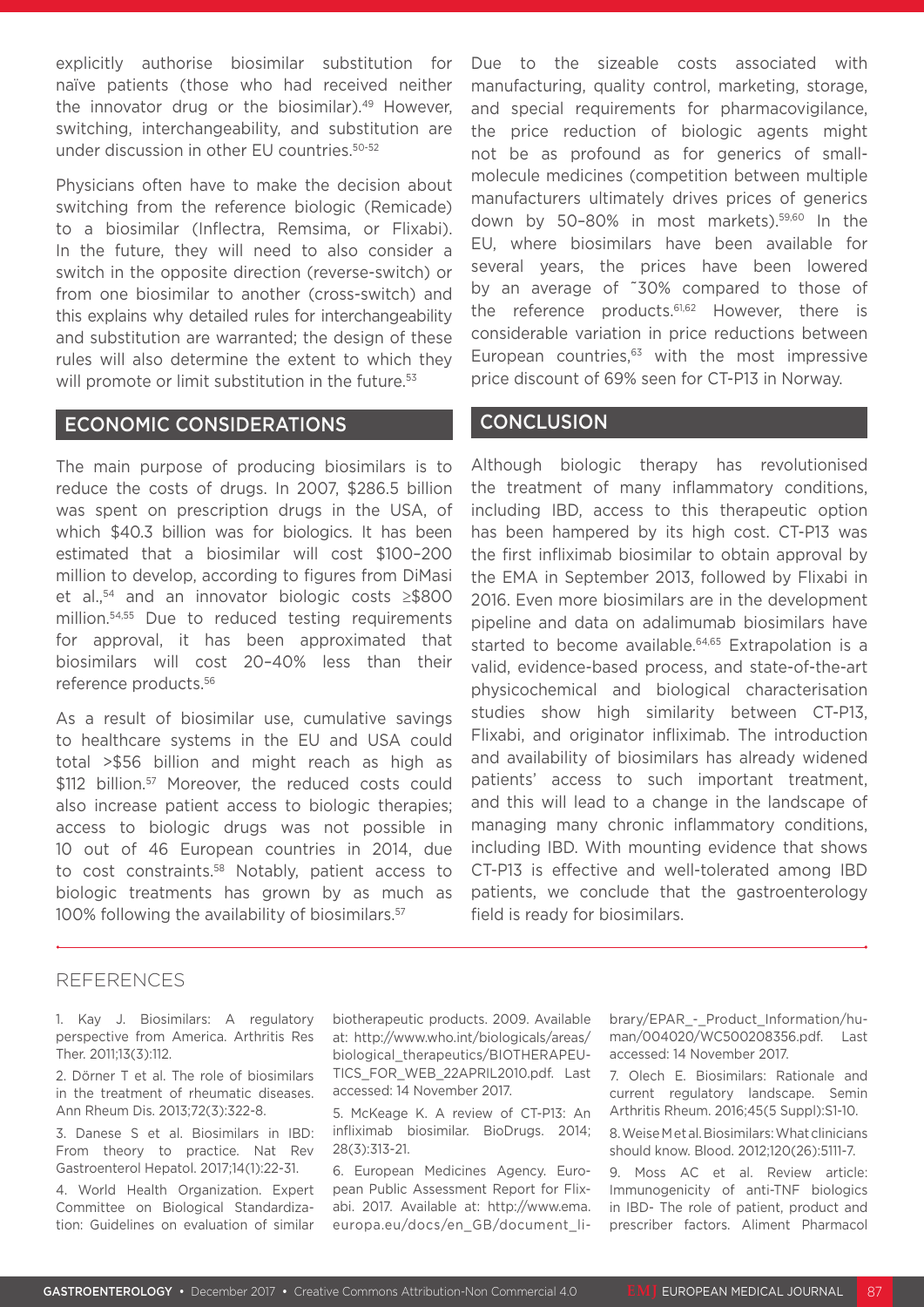explicitly authorise biosimilar substitution for naïve patients (those who had received neither the innovator drug or the biosimilar).<sup>49</sup> However, switching, interchangeability, and substitution are under discussion in other EU countries.50-52

Physicians often have to make the decision about switching from the reference biologic (Remicade) to a biosimilar (Inflectra, Remsima, or Flixabi). In the future, they will need to also consider a switch in the opposite direction (reverse-switch) or from one biosimilar to another (cross-switch) and this explains why detailed rules for interchangeability and substitution are warranted; the design of these rules will also determine the extent to which they will promote or limit substitution in the future.<sup>53</sup>

## ECONOMIC CONSIDERATIONS

The main purpose of producing biosimilars is to reduce the costs of drugs. In 2007, \$286.5 billion was spent on prescription drugs in the USA, of which \$40.3 billion was for biologics. It has been estimated that a biosimilar will cost \$100–200 million to develop, according to figures from DiMasi et al.,54 and an innovator biologic costs ≥\$800 million.54,55 Due to reduced testing requirements for approval, it has been approximated that biosimilars will cost 20–40% less than their reference products.56

As a result of biosimilar use, cumulative savings to healthcare systems in the EU and USA could total >\$56 billion and might reach as high as \$112 billion.<sup>57</sup> Moreover, the reduced costs could also increase patient access to biologic therapies; access to biologic drugs was not possible in 10 out of 46 European countries in 2014, due to cost constraints.58 Notably, patient access to biologic treatments has grown by as much as 100% following the availability of biosimilars.<sup>57</sup>

Due to the sizeable costs associated with manufacturing, quality control, marketing, storage, and special requirements for pharmacovigilance, the price reduction of biologic agents might not be as profound as for generics of smallmolecule medicines (competition between multiple manufacturers ultimately drives prices of generics down by 50–80% in most markets).59,60 In the EU, where biosimilars have been available for several years, the prices have been lowered by an average of ˜30% compared to those of the reference products.<sup>61,62</sup> However, there is considerable variation in price reductions between European countries, $63$  with the most impressive price discount of 69% seen for CT-P13 in Norway.

#### **CONCLUSION**

Although biologic therapy has revolutionised the treatment of many inflammatory conditions, including IBD, access to this therapeutic option has been hampered by its high cost. CT-P13 was the first infliximab biosimilar to obtain approval by the EMA in September 2013, followed by Flixabi in 2016. Even more biosimilars are in the development pipeline and data on adalimumab biosimilars have started to become available.<sup>64,65</sup> Extrapolation is a valid, evidence-based process, and state-of-the-art physicochemical and biological characterisation studies show high similarity between CT-P13, Flixabi, and originator infliximab. The introduction and availability of biosimilars has already widened patients' access to such important treatment, and this will lead to a change in the landscape of managing many chronic inflammatory conditions, including IBD. With mounting evidence that shows CT-P13 is effective and well-tolerated among IBD patients, we conclude that the gastroenterology field is ready for biosimilars.

## REFERENCES

1. Kay J. Biosimilars: A regulatory perspective from America. Arthritis Res Ther. 2011;13(3):112.

2. Dörner T et al. The role of biosimilars in the treatment of rheumatic diseases. Ann Rheum Dis. 2013;72(3):322-8.

3. Danese S et al. Biosimilars in IBD: From theory to practice. Nat Rev Gastroenterol Hepatol. 2017;14(1):22-31.

4. World Health Organization. Expert Committee on Biological Standardization: Guidelines on evaluation of similar biotherapeutic products. 2009. Available at: http://www.who.int/biologicals/areas/ biological\_therapeutics/BIOTHERAPEU-TICS FOR WEB 22APRIL2010.pdf. Last accessed: 14 November 2017.

5. McKeage K. A review of CT-P13: An infliximab biosimilar. BioDrugs. 2014; 28(3):313-21.

6. European Medicines Agency. European Public Assessment Report for Flixabi. 2017. Available at: http://www.ema. europa.eu/docs/en\_GB/document\_library/EPAR\_-\_Product\_Information/human/004020/WC500208356.pdf. Last accessed: 14 November 2017.

7. Olech E. Biosimilars: Rationale and current regulatory landscape. Semin Arthritis Rheum. 2016;45(5 Suppl):S1-10.

8. Weise M et al. Biosimilars: What clinicians should know. Blood. 2012;120(26):5111-7.

9. Moss AC et al. Review article: Immunogenicity of anti-TNF biologics in IBD- The role of patient, product and prescriber factors. Aliment Pharmacol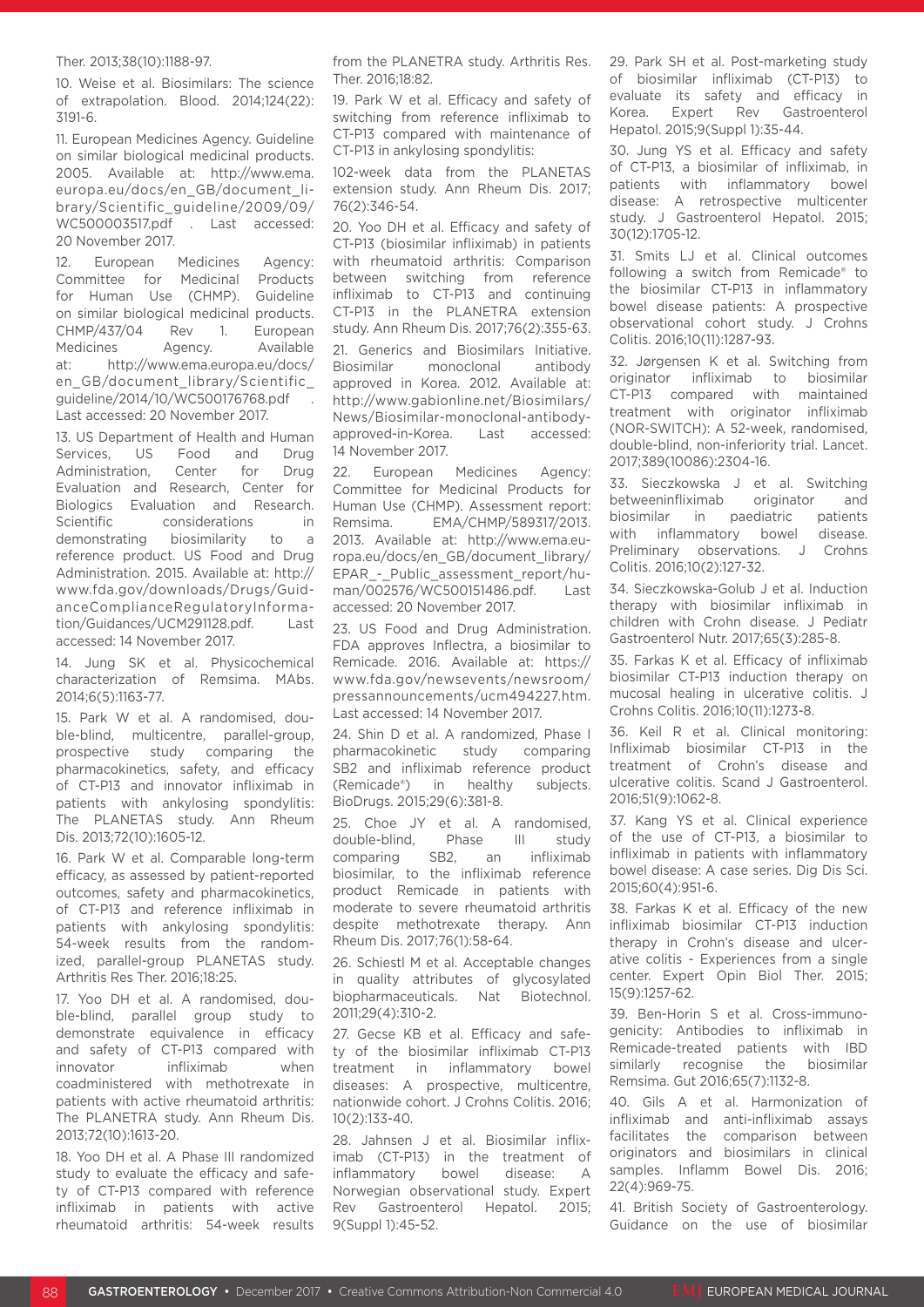#### Ther. 2013;38(10):1188-97.

10. Weise et al. Biosimilars: The science of extrapolation. Blood. 2014;124(22): 3191-6.

11. European Medicines Agency. Guideline on similar biological medicinal products. 2005. Available at: http://www.ema. europa.eu/docs/en\_GB/document\_library/Scientific\_guideline/2009/09/ WC500003517.pdf . Last accessed: 20 November 2017.

12. European Medicines Agency:<br>Committee for Medicinal Products Committee for Medicinal for Human Use (CHMP). Guideline on similar biological medicinal products. CHMP/437/04 Rev 1. European Medicines Agency. Available at: http://www.ema.europa.eu/docs/ en\_GB/document\_library/Scientific\_ guideline/2014/10/WC500176768.pdf . Last accessed: 20 November 2017.

13. US Department of Health and Human Services, US Food and Drug Administration, Center for Drug Evaluation and Research, Center for Biologics Evaluation and Research. Scientific considerations in demonstrating biosimilarity to a reference product. US Food and Drug Administration. 2015. Available at: http:// www.fda.gov/downloads/Drugs/GuidanceComplianceRegulatoryInformation/Guidances/UCM291128.pdf. Last accessed: 14 November 2017.

14. Jung SK et al. Physicochemical characterization of Remsima. MAbs. 2014;6(5):1163-77.

15. Park W et al. A randomised, double-blind, multicentre, parallel-group, prospective study comparing the pharmacokinetics, safety, and efficacy of CT-P13 and innovator infliximab in patients with ankylosing spondylitis: The PLANETAS study. Ann Rheum Dis. 2013;72(10):1605-12.

16. Park W et al. Comparable long-term efficacy, as assessed by patient-reported outcomes, safety and pharmacokinetics, of CT-P13 and reference infliximab in patients with ankylosing spondylitis: 54-week results from the randomized, parallel-group PLANETAS study. Arthritis Res Ther. 2016;18:25.

17. Yoo DH et al. A randomised, double-blind, parallel group study to demonstrate equivalence in efficacy and safety of CT-P13 compared with innovator infliximab when coadministered with methotrexate in patients with active rheumatoid arthritis: The PLANETRA study. Ann Rheum Dis. 2013;72(10):1613-20.

18. Yoo DH et al. A Phase III randomized study to evaluate the efficacy and safety of CT-P13 compared with reference infliximab in patients with active rheumatoid arthritis: 54-week results from the PLANETRA study. Arthritis Res. Ther. 2016;18:82.

19. Park W et al. Efficacy and safety of switching from reference infliximab to CT-P13 compared with maintenance of CT-P13 in ankylosing spondylitis:

102-week data from the PLANETAS extension study. Ann Rheum Dis. 2017; 76(2):346-54.

20. Yoo DH et al. Efficacy and safety of CT-P13 (biosimilar infliximab) in patients with rheumatoid arthritis: Comparison between switching from reference infliximab to CT-P13 and continuing CT-P13 in the PLANETRA extension study. Ann Rheum Dis. 2017;76(2):355-63. 21. Generics and Biosimilars Initiative. Biosimilar monoclonal antibody approved in Korea. 2012. Available at: http://www.gabionline.net/Biosimilars/ News/Biosimilar-monoclonal-antibodyapproved-in-Korea. Last accessed: 14 November 2017.

22. European Medicines Agency: Committee for Medicinal Products for Human Use (CHMP). Assessment report: Remsima. EMA/CHMP/589317/2013. 2013. Available at: http://www.ema.europa.eu/docs/en\_GB/document\_library/ EPAR - Public assessment report/human/002576/WC500151486.pdf. Last accessed: 20 November 2017.

23. US Food and Drug Administration. FDA approves Inflectra, a biosimilar to Remicade. 2016. Available at: https:// www.fda.gov/newsevents/newsroom/ pressannouncements/ucm494227.htm. Last accessed: 14 November 2017.

24. Shin D et al. A randomized, Phase I pharmacokinetic study comparing SB2 and infliximab reference product (Remicade®) in healthy subjects. BioDrugs. 2015;29(6):381-8.

25. Choe JY et al. A randomised, double-blind, Phase III study comparing SB2, an infliximab biosimilar, to the infliximab reference product Remicade in patients with moderate to severe rheumatoid arthritis despite methotrexate therapy. Ann Rheum Dis. 2017;76(1):58-64.

26. Schiestl M et al. Acceptable changes in quality attributes of glycosylated biopharmaceuticals. Nat Biotechnol. 2011;29(4):310-2.

27. Gecse KB et al. Efficacy and safety of the biosimilar infliximab CT-P13 treatment in inflammatory bowel diseases: A prospective, multicentre, nationwide cohort. J Crohns Colitis. 2016; 10(2):133-40.

28. Jahnsen J et al. Biosimilar infliximab (CT-P13) in the treatment of inflammatory bowel disease: A Norwegian observational study. Expert Rev Gastroenterol Hepatol. 2015; 9(Suppl 1):45-52.

29. Park SH et al. Post-marketing study of biosimilar infliximab (CT-P13) to evaluate its safety and efficacy in Korea. Expert Rev Gastroenterol Hepatol. 2015;9(Suppl 1):35-44.

30. Jung YS et al. Efficacy and safety of CT-P13, a biosimilar of infliximab, in patients with inflammatory bowel disease: A retrospective multicenter study. J Gastroenterol Hepatol. 2015; 30(12):1705-12.

31. Smits LJ et al. Clinical outcomes following a switch from Remicade® to the biosimilar CT-P13 in inflammatory bowel disease patients: A prospective observational cohort study. J Crohns Colitis. 2016;10(11):1287-93.

32. Jørgensen K et al. Switching from originator infliximab to biosimilar CT-P13 compared with maintained treatment with originator infliximab (NOR-SWITCH): A 52-week, randomised, double-blind, non-inferiority trial. Lancet. 2017;389(10086):2304-16.

33. Sieczkowska J et al. Switching betweeninfliximab originator and biosimilar in paediatric patients with inflammatory bowel disease. Preliminary observations. J Crohns Colitis. 2016;10(2):127-32.

34. Sieczkowska-Golub J et al. Induction therapy with biosimilar infliximab in children with Crohn disease. J Pediatr Gastroenterol Nutr. 2017;65(3):285-8.

35. Farkas K et al. Efficacy of infliximab biosimilar CT-P13 induction therapy on mucosal healing in ulcerative colitis. J Crohns Colitis. 2016;10(11):1273-8.

36. Keil R et al. Clinical monitoring: Infliximab biosimilar CT-P13 in the treatment of Crohn's disease and ulcerative colitis. Scand J Gastroenterol. 2016;51(9):1062-8.

37. Kang YS et al. Clinical experience of the use of CT-P13, a biosimilar to infliximab in patients with inflammatory bowel disease: A case series. Dig Dis Sci. 2015;60(4):951-6.

38. Farkas K et al. Efficacy of the new infliximab biosimilar CT-P13 induction therapy in Crohn's disease and ulcerative colitis - Experiences from a single center. Expert Opin Biol Ther. 2015; 15(9):1257-62.

39. Ben-Horin S et al. Cross-immunogenicity: Antibodies to infliximab in Remicade-treated patients with IBD similarly recognise the biosimilar Remsima. Gut 2016;65(7):1132-8.

40. Gils A et al. Harmonization of infliximab and anti-infliximab assays facilitates the comparison between originators and biosimilars in clinical samples. Inflamm Bowel Dis. 2016; 22(4):969-75.

41. British Society of Gastroenterology. Guidance on the use of biosimilar